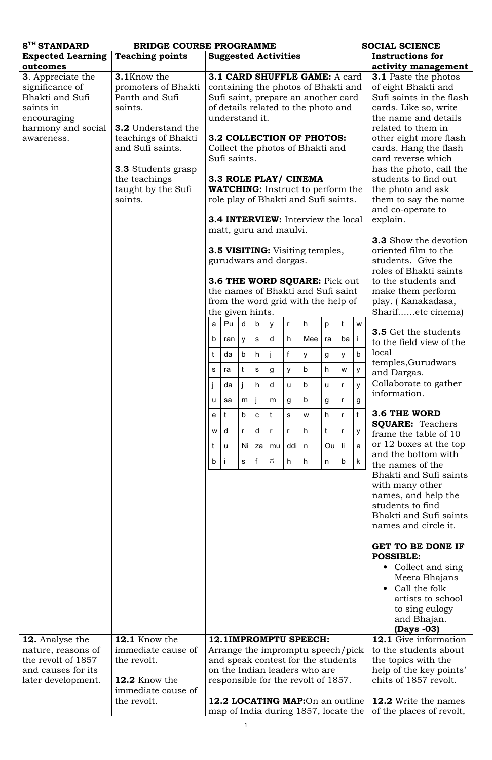| 8 <sup>TH</sup> STANDARD | <b>BRIDGE COURSE PROGRAMME</b> |                                     |                                                         |              |              |              |                     | <b>SOCIAL SCIENCE</b>                     |    |              |              |                                                  |
|--------------------------|--------------------------------|-------------------------------------|---------------------------------------------------------|--------------|--------------|--------------|---------------------|-------------------------------------------|----|--------------|--------------|--------------------------------------------------|
| <b>Expected Learning</b> | <b>Teaching points</b>         |                                     | <b>Suggested Activities</b>                             |              |              |              |                     |                                           |    |              |              | <b>Instructions for</b>                          |
| outcomes                 |                                |                                     |                                                         |              |              |              |                     |                                           |    |              |              | activity management                              |
| <b>3.</b> Appreciate the | 3.1Know the                    |                                     |                                                         |              |              |              |                     | 3.1 CARD SHUFFLE GAME: A card             |    |              |              | <b>3.1</b> Paste the photos                      |
| significance of          | promoters of Bhakti            | containing the photos of Bhakti and |                                                         |              |              |              | of eight Bhakti and |                                           |    |              |              |                                                  |
| Bhakti and Sufi          | Panth and Sufi                 |                                     | Sufi saint, prepare an another card                     |              |              |              |                     | Sufi saints in the flash                  |    |              |              |                                                  |
| saints in                | saints.                        |                                     |                                                         |              |              |              |                     | of details related to the photo and       |    |              |              | cards. Like so, write                            |
| encouraging              |                                |                                     | understand it.                                          |              |              |              |                     |                                           |    |              |              | the name and details                             |
| harmony and social       | <b>3.2</b> Understand the      |                                     |                                                         |              |              |              |                     |                                           |    |              |              | related to them in                               |
| awareness.               | teachings of Bhakti            |                                     |                                                         |              |              |              |                     | 3.2 COLLECTION OF PHOTOS:                 |    |              |              | other eight more flash                           |
|                          | and Sufi saints.               |                                     |                                                         |              |              |              |                     | Collect the photos of Bhakti and          |    |              |              | cards. Hang the flash                            |
|                          |                                |                                     | Sufi saints.                                            |              |              |              |                     |                                           |    |              |              | card reverse which                               |
|                          | <b>3.3</b> Students grasp      |                                     |                                                         |              |              |              |                     |                                           |    |              |              | has the photo, call the                          |
|                          | the teachings                  |                                     |                                                         |              |              |              |                     | 3.3 ROLE PLAY/ CINEMA                     |    |              |              | students to find out                             |
|                          | taught by the Sufi             |                                     |                                                         |              |              |              |                     | <b>WATCHING:</b> Instruct to perform the  |    |              |              | the photo and ask                                |
|                          | saints.                        |                                     |                                                         |              |              |              |                     | role play of Bhakti and Sufi saints.      |    |              |              | them to say the name                             |
|                          |                                |                                     |                                                         |              |              |              |                     |                                           |    |              |              | and co-operate to                                |
|                          |                                |                                     |                                                         |              |              |              |                     | <b>3.4 INTERVIEW:</b> Interview the local |    |              |              | explain.                                         |
|                          |                                |                                     | matt, guru and maulvi.                                  |              |              |              |                     |                                           |    |              |              | <b>3.3</b> Show the devotion                     |
|                          |                                |                                     |                                                         |              |              |              |                     | <b>3.5 VISITING:</b> Visiting temples,    |    |              |              | oriented film to the                             |
|                          |                                |                                     | gurudwars and dargas.                                   |              |              |              |                     |                                           |    |              |              | students. Give the                               |
|                          |                                |                                     |                                                         |              |              |              |                     |                                           |    |              |              | roles of Bhakti saints                           |
|                          |                                |                                     |                                                         |              |              |              |                     | <b>3.6 THE WORD SQUARE:</b> Pick out      |    |              |              | to the students and                              |
|                          |                                |                                     |                                                         |              |              |              |                     | the names of Bhakti and Sufi saint        |    |              |              | make them perform                                |
|                          |                                |                                     |                                                         |              |              |              |                     |                                           |    |              |              | play. (Kanakadasa,                               |
|                          |                                |                                     | from the word grid with the help of<br>the given hints. |              |              |              | Sharifetc cinema)   |                                           |    |              |              |                                                  |
|                          |                                | a                                   | Pu                                                      | d            | b            | y            | r                   | h.                                        | p  | t            | W            |                                                  |
|                          |                                |                                     |                                                         |              |              |              |                     |                                           |    |              |              | <b>3.5</b> Get the students                      |
|                          |                                | $\mathsf{b}$                        | ran                                                     | y            | S            | d            | h                   | Mee                                       | ra | ba           |              | to the field view of the                         |
|                          |                                | t                                   | da                                                      | $\mathsf b$  | h            |              | $\mathsf{f}$        | У                                         | g  | У            | $\mathsf{b}$ | local                                            |
|                          |                                | S                                   | ra                                                      | t            | S            | g            | У                   | b                                         | h  | W            | У            | temples, Gurudwars<br>and Dargas.                |
|                          |                                |                                     | da                                                      |              | h            | d            | u                   | b                                         | u  | $\mathsf{r}$ | y            | Collaborate to gather                            |
|                          |                                | u                                   | sa                                                      | m            |              | m            | g                   | b                                         | g  | $\mathsf r$  | g            | information.                                     |
|                          |                                | $\mathsf{e}$                        | t                                                       | b            | $\mathbf C$  | t            | S                   | W                                         | h  | $\mathsf{r}$ | $\mathsf{t}$ | <b>3.6 THE WORD</b>                              |
|                          |                                | W                                   | d                                                       | $\mathsf{r}$ | d            | $\mathsf{r}$ | $\mathsf{r}$        | h.                                        | t  | r            | У            | <b>SQUARE: Teachers</b><br>frame the table of 10 |
|                          |                                | t                                   | u                                                       | Ni           | za           | mu           | ddi                 | n                                         | Ou | li           | a            | or 12 boxes at the top                           |
|                          |                                | $\mathsf{b}$                        |                                                         | $\mathsf{s}$ | $\mathbf{f}$ | $\vec{n}$    | h                   | h.                                        | n  | b            | $\mathsf{k}$ | and the bottom with                              |
|                          |                                |                                     |                                                         |              |              |              |                     |                                           |    |              |              | the names of the<br>Bhakti and Sufi saints       |
|                          |                                |                                     |                                                         |              |              |              |                     |                                           |    |              |              | with many other                                  |
|                          |                                |                                     |                                                         |              |              |              |                     |                                           |    |              |              | names, and help the                              |
|                          |                                |                                     |                                                         |              |              |              |                     |                                           |    |              |              | students to find                                 |
|                          |                                |                                     |                                                         |              |              |              |                     |                                           |    |              |              | Bhakti and Sufi saints                           |
|                          |                                |                                     |                                                         |              |              |              |                     |                                           |    |              |              | names and circle it.                             |
|                          |                                |                                     |                                                         |              |              |              |                     |                                           |    |              |              |                                                  |
|                          |                                |                                     |                                                         |              |              |              |                     |                                           |    |              |              | GET TO BE DONE IF<br><b>POSSIBLE:</b>            |

|                    |                    |                                      | <b>POSSIBLE:</b>             |  |
|--------------------|--------------------|--------------------------------------|------------------------------|--|
|                    |                    |                                      | • Collect and sing           |  |
|                    |                    |                                      | Meera Bhajans                |  |
|                    |                    |                                      | $\bullet$ Call the folk      |  |
|                    |                    |                                      | artists to school            |  |
|                    |                    |                                      | to sing eulogy               |  |
|                    |                    |                                      | and Bhajan.                  |  |
|                    |                    |                                      | $(Days -03)$                 |  |
| 12. Analyse the    | 12.1 Know the      | <b>12.1IMPROMPTU SPEECH:</b>         | <b>12.1</b> Give information |  |
| nature, reasons of | immediate cause of | Arrange the impromptu speech/pick    | to the students about        |  |
| the revolt of 1857 | the revolt.        | and speak contest for the students   | the topics with the          |  |
| and causes for its |                    | on the Indian leaders who are        | help of the key points'      |  |
| later development. | 12.2 Know the      | responsible for the revolt of 1857.  | chits of 1857 revolt.        |  |
|                    | immediate cause of |                                      |                              |  |
|                    | the revolt.        | 12.2 LOCATING MAP:On an outline      | <b>12.2</b> Write the names  |  |
|                    |                    | map of India during 1857, locate the | of the places of revolt,     |  |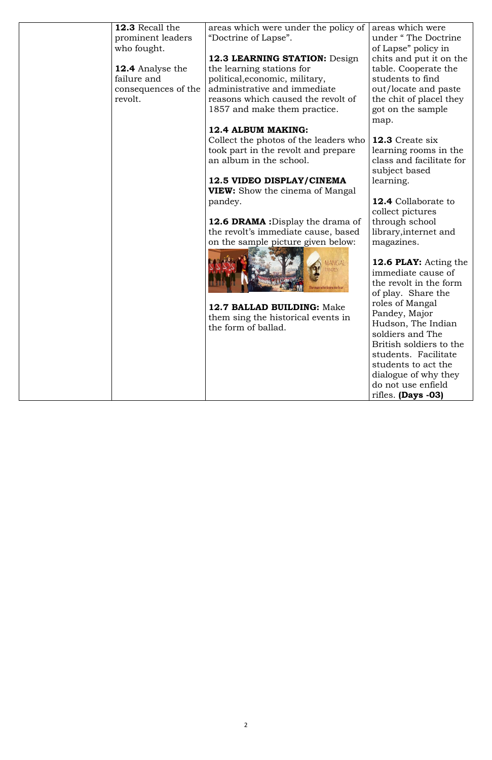| 12.3 Recall the<br>prominent leaders | areas which were under the policy of<br>"Doctrine of Lapse". | areas which were<br>under "The Doctrine |
|--------------------------------------|--------------------------------------------------------------|-----------------------------------------|
| who fought.                          |                                                              | of Lapse" policy in                     |
|                                      | 12.3 LEARNING STATION: Design                                | chits and put it on the                 |
| <b>12.4</b> Analyse the              | the learning stations for                                    | table. Cooperate the                    |
| failure and                          | political, economic, military,                               | students to find                        |
| consequences of the                  | administrative and immediate                                 | out/locate and paste                    |
| revolt.                              | reasons which caused the revolt of                           | the chit of placel they                 |
|                                      | 1857 and make them practice.                                 | got on the sample                       |
|                                      |                                                              | map.                                    |
|                                      | 12.4 ALBUM MAKING:                                           |                                         |
|                                      | Collect the photos of the leaders who                        | 12.3 Create six                         |
|                                      | took part in the revolt and prepare                          | learning rooms in the                   |
|                                      | an album in the school.                                      | class and facilitate for                |
|                                      |                                                              | subject based                           |
|                                      | 12.5 VIDEO DISPLAY/CINEMA                                    | learning.                               |
|                                      | <b>VIEW:</b> Show the cinema of Mangal                       | <b>12.4</b> Collaborate to              |
|                                      | pandey.                                                      | collect pictures                        |
|                                      | <b>12.6 DRAMA</b> : Display the drama of                     | through school                          |
|                                      | the revolt's immediate cause, based                          | library, internet and                   |
|                                      | on the sample picture given below:                           | magazines.                              |
|                                      |                                                              |                                         |
|                                      | <b>IANGAL</b>                                                | 12.6 PLAY: Acting the                   |
|                                      |                                                              | immediate cause of                      |
|                                      |                                                              | the revolt in the form                  |
|                                      |                                                              | of play. Share the                      |
|                                      |                                                              | roles of Mangal                         |
|                                      | 12.7 BALLAD BUILDING: Make                                   | Pandey, Major                           |
|                                      | them sing the historical events in<br>the form of ballad.    | Hudson, The Indian                      |
|                                      |                                                              | soldiers and The                        |
|                                      |                                                              | British soldiers to the                 |
|                                      |                                                              | students. Facilitate                    |
|                                      |                                                              | students to act the                     |
|                                      |                                                              | dialogue of why they                    |
|                                      |                                                              | do not use enfield                      |
|                                      |                                                              | rifles. $(Days -03)$                    |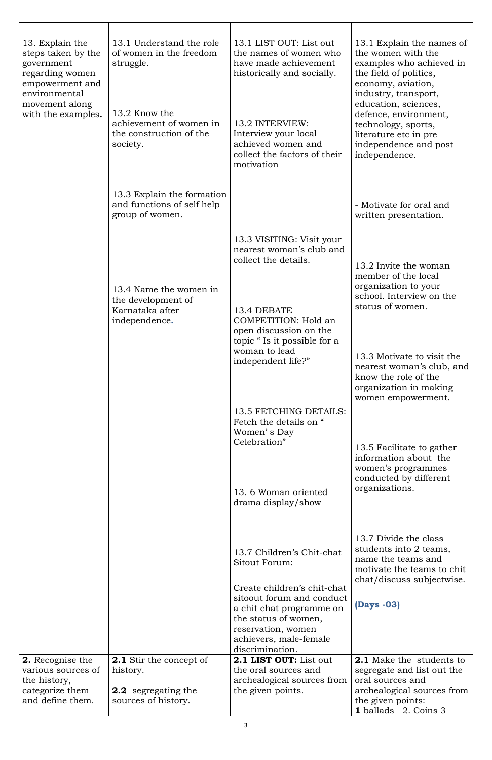| 13. Explain the<br>steps taken by the<br>government<br>regarding women<br>empowerment and<br>environmental<br>movement along<br>with the examples. | 13.1 Understand the role<br>of women in the freedom<br>struggle.<br>13.2 Know the<br>achievement of women in<br>the construction of the<br>society. | 13.1 LIST OUT: List out<br>the names of women who<br>have made achievement<br>historically and socially.<br>13.2 INTERVIEW:<br>Interview your local<br>achieved women and<br>collect the factors of their<br>motivation | 13.1 Explain the names of<br>the women with the<br>examples who achieved in<br>the field of politics,<br>economy, aviation,<br>industry, transport,<br>education, sciences,<br>defence, environment,<br>technology, sports,<br>literature etc in pre<br>independence and post<br>independence. |
|----------------------------------------------------------------------------------------------------------------------------------------------------|-----------------------------------------------------------------------------------------------------------------------------------------------------|-------------------------------------------------------------------------------------------------------------------------------------------------------------------------------------------------------------------------|------------------------------------------------------------------------------------------------------------------------------------------------------------------------------------------------------------------------------------------------------------------------------------------------|
|                                                                                                                                                    | 13.3 Explain the formation<br>and functions of self help<br>group of women.                                                                         |                                                                                                                                                                                                                         | - Motivate for oral and<br>written presentation.                                                                                                                                                                                                                                               |
|                                                                                                                                                    | 13.4 Name the women in<br>the development of<br>Karnataka after<br>independence.                                                                    | 13.3 VISITING: Visit your<br>nearest woman's club and<br>collect the details.<br>13.4 DEBATE<br>COMPETITION: Hold an<br>open discussion on the<br>topic "Is it possible for a<br>woman to lead<br>independent life?"    | 13.2 Invite the woman<br>member of the local<br>organization to your<br>school. Interview on the<br>status of women.<br>13.3 Motivate to visit the<br>nearest woman's club, and<br>know the role of the<br>organization in making<br>women empowerment.                                        |
|                                                                                                                                                    |                                                                                                                                                     | 13.5 FETCHING DETAILS:<br>Fetch the details on "<br>Women's Day<br>Celebration"<br>13.6 Woman oriented                                                                                                                  | 13.5 Facilitate to gather<br>information about the<br>women's programmes<br>conducted by different<br>organizations.                                                                                                                                                                           |
|                                                                                                                                                    |                                                                                                                                                     | drama display/show                                                                                                                                                                                                      |                                                                                                                                                                                                                                                                                                |
|                                                                                                                                                    |                                                                                                                                                     | 13.7 Children's Chit-chat<br>Sitout Forum:<br>Create children's chit-chat<br>sitoout forum and conduct<br>a chit chat programme on                                                                                      | 13.7 Divide the class<br>students into 2 teams,<br>name the teams and<br>motivate the teams to chit<br>chat/discuss subjectwise.<br>(Days -03)                                                                                                                                                 |
| <b>2.</b> Recognise the<br>various sources of<br>the history,<br>categorize them<br>and define them.                                               | <b>2.1</b> Stir the concept of<br>history.<br><b>2.2</b> segregating the<br>sources of history.                                                     | the status of women,<br>reservation, women<br>achievers, male-female<br>discrimination.<br>2.1 LIST OUT: List out<br>the oral sources and<br>archealogical sources from<br>the given points.                            | <b>2.1</b> Make the students to<br>segregate and list out the<br>oral sources and<br>archealogical sources from<br>the given points:<br>1 ballads 2. Coins 3                                                                                                                                   |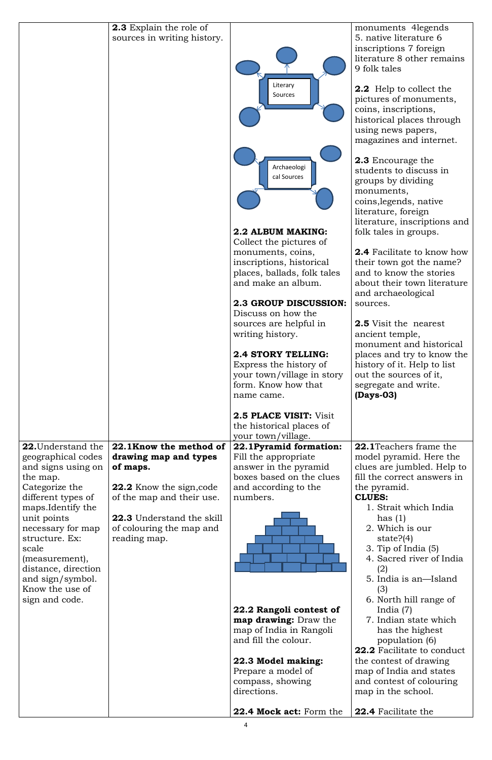|                           | <b>2.3</b> Explain the role of   |                                                 | monuments 4 legends                                 |
|---------------------------|----------------------------------|-------------------------------------------------|-----------------------------------------------------|
|                           | sources in writing history.      |                                                 | 5. native literature 6                              |
|                           |                                  |                                                 | inscriptions 7 foreign                              |
|                           |                                  |                                                 | literature 8 other remains                          |
|                           |                                  |                                                 | 9 folk tales                                        |
|                           |                                  | Literary                                        |                                                     |
|                           |                                  | Sources                                         | <b>2.2</b> Help to collect the                      |
|                           |                                  |                                                 | pictures of monuments,                              |
|                           |                                  |                                                 | coins, inscriptions,                                |
|                           |                                  |                                                 | historical places through                           |
|                           |                                  |                                                 | using news papers,                                  |
|                           |                                  |                                                 | magazines and internet.                             |
|                           |                                  |                                                 |                                                     |
|                           |                                  | Archaeologi                                     | <b>2.3</b> Encourage the                            |
|                           |                                  | cal Sources                                     | students to discuss in                              |
|                           |                                  |                                                 | groups by dividing                                  |
|                           |                                  |                                                 | monuments,                                          |
|                           |                                  |                                                 | coins, legends, native                              |
|                           |                                  |                                                 | literature, foreign                                 |
|                           |                                  |                                                 | literature, inscriptions and                        |
|                           |                                  | 2.2 ALBUM MAKING:                               | folk tales in groups.                               |
|                           |                                  | Collect the pictures of                         |                                                     |
|                           |                                  | monuments, coins,                               | <b>2.4</b> Facilitate to know how                   |
|                           |                                  | inscriptions, historical                        | their town got the name?                            |
|                           |                                  | places, ballads, folk tales                     | and to know the stories                             |
|                           |                                  | and make an album.                              | about their town literature                         |
|                           |                                  |                                                 | and archaeological                                  |
|                           |                                  | <b>2.3 GROUP DISCUSSION:</b>                    | sources.                                            |
|                           |                                  | Discuss on how the                              |                                                     |
|                           |                                  | sources are helpful in                          | <b>2.5</b> Visit the nearest                        |
|                           |                                  | writing history.                                | ancient temple,                                     |
|                           |                                  |                                                 | monument and historical                             |
|                           |                                  | <b>2.4 STORY TELLING:</b>                       | places and try to know the                          |
|                           |                                  | Express the history of                          | history of it. Help to list                         |
|                           |                                  | your town/village in story                      | out the sources of it,                              |
|                           |                                  | form. Know how that                             | segregate and write.                                |
|                           |                                  | name came.                                      | $(Days-03)$                                         |
|                           |                                  | <b>2.5 PLACE VISIT: Visit</b>                   |                                                     |
|                           |                                  | the historical places of                        |                                                     |
|                           |                                  | your town/village.                              |                                                     |
| <b>22.</b> Understand the | 22.1Know the method of           | 22.1Pyramid formation:                          | <b>22.1</b> Teachers frame the                      |
| geographical codes        | drawing map and types            | Fill the appropriate                            | model pyramid. Here the                             |
| and signs using on        | of maps.                         | answer in the pyramid                           | clues are jumbled. Help to                          |
| the map.                  |                                  | boxes based on the clues                        | fill the correct answers in                         |
| Categorize the            | <b>22.2</b> Know the sign, code  | and according to the                            | the pyramid.                                        |
| different types of        | of the map and their use.        | numbers.                                        | <b>CLUES:</b>                                       |
| maps.Identify the         |                                  |                                                 | 1. Strait which India                               |
| unit points               | <b>22.3</b> Understand the skill |                                                 | has $(1)$                                           |
| necessary for map         | of colouring the map and         |                                                 | 2. Which is our                                     |
| structure. Ex:            | reading map.                     |                                                 | state? $(4)$                                        |
| scale                     |                                  |                                                 | 3. Tip of India $(5)$                               |
| (measurement),            |                                  |                                                 | 4. Sacred river of India                            |
| distance, direction       |                                  |                                                 | (2)                                                 |
| and sign/symbol.          |                                  |                                                 | 5. India is an—Island                               |
| Know the use of           |                                  |                                                 | (3)                                                 |
| sign and code.            |                                  |                                                 | 6. North hill range of                              |
|                           |                                  | 22.2 Rangoli contest of                         | India $(7)$                                         |
|                           |                                  | <b>map drawing:</b> Draw the                    | 7. Indian state which                               |
|                           |                                  | map of India in Rangoli<br>and fill the colour. | has the highest                                     |
|                           |                                  |                                                 | population (6)<br><b>22.2</b> Facilitate to conduct |
|                           |                                  | 22.3 Model making:                              | the contest of drawing                              |
|                           |                                  | Prepare a model of                              | map of India and states                             |
|                           |                                  | compass, showing                                | and contest of colouring                            |
|                           |                                  | directions.                                     | map in the school.                                  |
|                           |                                  |                                                 |                                                     |
|                           |                                  |                                                 |                                                     |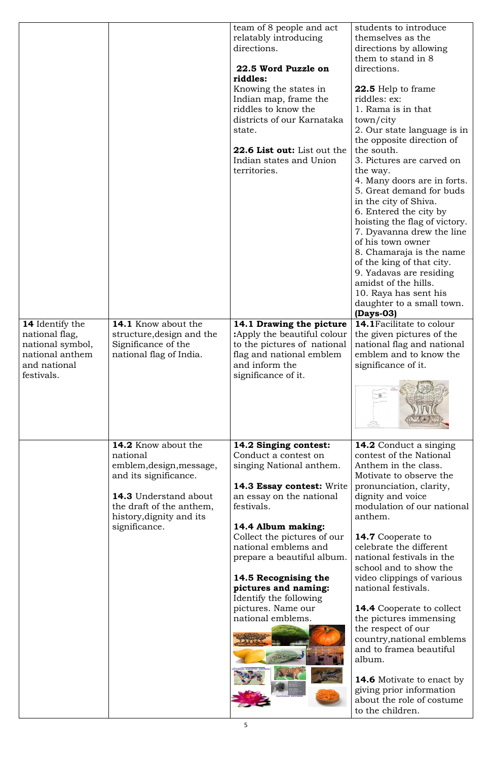|                                          |                                                         | team of 8 people and act<br>relatably introducing<br>directions.<br>22.5 Word Puzzle on<br>riddles:<br>Knowing the states in<br>Indian map, frame the<br>riddles to know the<br>districts of our Karnataka<br>state.<br><b>22.6 List out:</b> List out the<br>Indian states and Union<br>territories. | students to introduce<br>themselves as the<br>directions by allowing<br>them to stand in 8<br>directions.<br><b>22.5</b> Help to frame<br>riddles: ex:<br>1. Rama is in that<br>town/city<br>2. Our state language is in<br>the opposite direction of<br>the south.<br>3. Pictures are carved on<br>the way.<br>4. Many doors are in forts.<br>5. Great demand for buds<br>in the city of Shiva.<br>6. Entered the city by<br>hoisting the flag of victory.<br>7. Dyavanna drew the line<br>of his town owner<br>8. Chamaraja is the name<br>of the king of that city.<br>9. Yadavas are residing<br>amidst of the hills.<br>10. Raya has sent his<br>daughter to a small town.<br>$(Days-03)$ |
|------------------------------------------|---------------------------------------------------------|-------------------------------------------------------------------------------------------------------------------------------------------------------------------------------------------------------------------------------------------------------------------------------------------------------|------------------------------------------------------------------------------------------------------------------------------------------------------------------------------------------------------------------------------------------------------------------------------------------------------------------------------------------------------------------------------------------------------------------------------------------------------------------------------------------------------------------------------------------------------------------------------------------------------------------------------------------------------------------------------------------------|
| <b>14</b> Identify the<br>national flag, | <b>14.1</b> Know about the<br>structure, design and the | 14.1 Drawing the picture<br>:Apply the beautiful colour                                                                                                                                                                                                                                               | 14.1 Facilitate to colour<br>the given pictures of the                                                                                                                                                                                                                                                                                                                                                                                                                                                                                                                                                                                                                                         |
| national symbol,                         | Significance of the                                     | to the pictures of national                                                                                                                                                                                                                                                                           | national flag and national                                                                                                                                                                                                                                                                                                                                                                                                                                                                                                                                                                                                                                                                     |
| national anthem<br>and national          | national flag of India.                                 | flag and national emblem<br>and inform the                                                                                                                                                                                                                                                            | emblem and to know the<br>significance of it.                                                                                                                                                                                                                                                                                                                                                                                                                                                                                                                                                                                                                                                  |
| festivals.                               |                                                         | significance of it.                                                                                                                                                                                                                                                                                   |                                                                                                                                                                                                                                                                                                                                                                                                                                                                                                                                                                                                                                                                                                |
|                                          |                                                         |                                                                                                                                                                                                                                                                                                       |                                                                                                                                                                                                                                                                                                                                                                                                                                                                                                                                                                                                                                                                                                |
|                                          | <b>14.2</b> Know about the                              | 14.2 Singing contest:                                                                                                                                                                                                                                                                                 | <b>14.2</b> Conduct a singing                                                                                                                                                                                                                                                                                                                                                                                                                                                                                                                                                                                                                                                                  |
|                                          | national<br>emblem, design, message,                    | Conduct a contest on<br>singing National anthem.                                                                                                                                                                                                                                                      | contest of the National<br>Anthem in the class.                                                                                                                                                                                                                                                                                                                                                                                                                                                                                                                                                                                                                                                |
|                                          | and its significance.                                   |                                                                                                                                                                                                                                                                                                       | Motivate to observe the                                                                                                                                                                                                                                                                                                                                                                                                                                                                                                                                                                                                                                                                        |
|                                          |                                                         | 14.3 Essay contest: Write                                                                                                                                                                                                                                                                             | pronunciation, clarity,                                                                                                                                                                                                                                                                                                                                                                                                                                                                                                                                                                                                                                                                        |
|                                          | <b>14.3</b> Understand about                            | an essay on the national                                                                                                                                                                                                                                                                              | dignity and voice                                                                                                                                                                                                                                                                                                                                                                                                                                                                                                                                                                                                                                                                              |
|                                          | the draft of the anthem,<br>history, dignity and its    | festivals.                                                                                                                                                                                                                                                                                            | modulation of our national<br>anthem.                                                                                                                                                                                                                                                                                                                                                                                                                                                                                                                                                                                                                                                          |
|                                          | significance.                                           | 14.4 Album making:                                                                                                                                                                                                                                                                                    |                                                                                                                                                                                                                                                                                                                                                                                                                                                                                                                                                                                                                                                                                                |
|                                          |                                                         | Collect the pictures of our<br>national emblems and                                                                                                                                                                                                                                                   | <b>14.7</b> Cooperate to<br>celebrate the different                                                                                                                                                                                                                                                                                                                                                                                                                                                                                                                                                                                                                                            |
|                                          |                                                         | prepare a beautiful album.                                                                                                                                                                                                                                                                            | national festivals in the                                                                                                                                                                                                                                                                                                                                                                                                                                                                                                                                                                                                                                                                      |

14.6 Motivate to enact by giving prior information about the role of costume to the children.

## 14.5 Recognising the pictures and naming:

Identify the following pictures. Name our national emblems.



school and to show the video clippings of various national festivals.

14.4 Cooperate to collect the pictures immensing the respect of our country,national emblems and to framea beautiful album.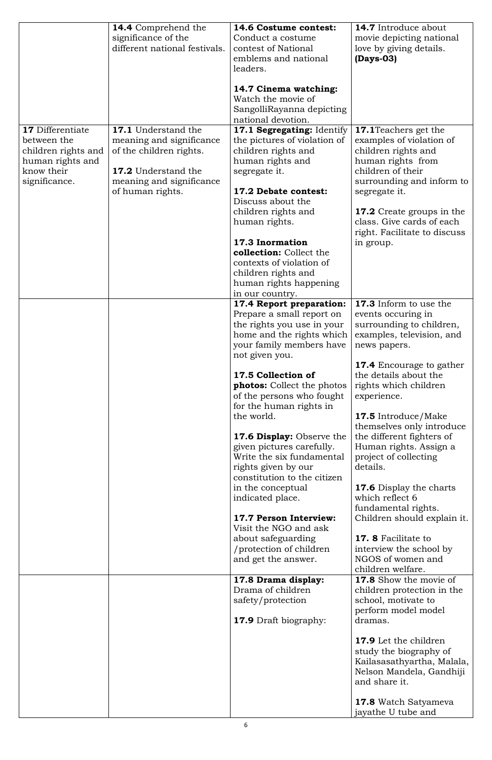|                                                                                                                  | <b>14.4</b> Comprehend the<br>significance of the<br>different national festivals.                                                                       | 14.6 Costume contest:<br>Conduct a costume<br>contest of National<br>emblems and national<br>leaders.<br>14.7 Cinema watching:<br>Watch the movie of<br>SangolliRayanna depicting<br>national devotion.                                                                                                                                                                                                                                                                                                                                                                                                                                                                                                                  | <b>14.7</b> Introduce about<br>movie depicting national<br>love by giving details.<br>$(Days-03)$                                                                                                                                                                                                                                                                                                                                                                                                                                                                                                                                                                                                                                                                                                                                                                                                         |
|------------------------------------------------------------------------------------------------------------------|----------------------------------------------------------------------------------------------------------------------------------------------------------|--------------------------------------------------------------------------------------------------------------------------------------------------------------------------------------------------------------------------------------------------------------------------------------------------------------------------------------------------------------------------------------------------------------------------------------------------------------------------------------------------------------------------------------------------------------------------------------------------------------------------------------------------------------------------------------------------------------------------|-----------------------------------------------------------------------------------------------------------------------------------------------------------------------------------------------------------------------------------------------------------------------------------------------------------------------------------------------------------------------------------------------------------------------------------------------------------------------------------------------------------------------------------------------------------------------------------------------------------------------------------------------------------------------------------------------------------------------------------------------------------------------------------------------------------------------------------------------------------------------------------------------------------|
| <b>17</b> Differentiate<br>between the<br>children rights and<br>human rights and<br>know their<br>significance. | 17.1 Understand the<br>meaning and significance<br>of the children rights.<br><b>17.2</b> Understand the<br>meaning and significance<br>of human rights. | 17.1 Segregating: Identify<br>the pictures of violation of<br>children rights and<br>human rights and<br>segregate it.<br>17.2 Debate contest:<br>Discuss about the<br>children rights and<br>human rights.<br>17.3 Inormation<br>collection: Collect the<br>contexts of violation of<br>children rights and<br>human rights happening<br>in our country.                                                                                                                                                                                                                                                                                                                                                                | <b>17.1</b> Teachers get the<br>examples of violation of<br>children rights and<br>human rights from<br>children of their<br>surrounding and inform to<br>segregate it.<br><b>17.2</b> Create groups in the<br>class. Give cards of each<br>right. Facilitate to discuss<br>in group.                                                                                                                                                                                                                                                                                                                                                                                                                                                                                                                                                                                                                     |
|                                                                                                                  |                                                                                                                                                          | 17.4 Report preparation:<br>Prepare a small report on<br>the rights you use in your<br>home and the rights which<br>your family members have<br>not given you.<br>17.5 Collection of<br><b>photos:</b> Collect the photos<br>of the persons who fought<br>for the human rights in<br>the world.<br><b>17.6 Display:</b> Observe the<br>given pictures carefully.<br>Write the six fundamental<br>rights given by our<br>constitution to the citizen<br>in the conceptual<br>indicated place.<br>17.7 Person Interview:<br>Visit the NGO and ask<br>about safeguarding<br>/protection of children<br>and get the answer.<br>17.8 Drama display:<br>Drama of children<br>safety/protection<br><b>17.9</b> Draft biography: | 17.3 Inform to use the<br>events occuring in<br>surrounding to children,<br>examples, television, and<br>news papers.<br><b>17.4</b> Encourage to gather<br>the details about the<br>rights which children<br>experience.<br><b>17.5</b> Introduce/Make<br>themselves only introduce<br>the different fighters of<br>Human rights. Assign a<br>project of collecting<br>details.<br><b>17.6</b> Display the charts<br>which reflect 6<br>fundamental rights.<br>Children should explain it.<br><b>17. 8 Facilitate to</b><br>interview the school by<br>NGOS of women and<br>children welfare.<br>17.8 Show the movie of<br>children protection in the<br>school, motivate to<br>perform model model<br>dramas.<br><b>17.9</b> Let the children<br>study the biography of<br>Kailasasathyartha, Malala,<br>Nelson Mandela, Gandhiji<br>and share it.<br><b>17.8</b> Watch Satyameva<br>jayathe U tube and |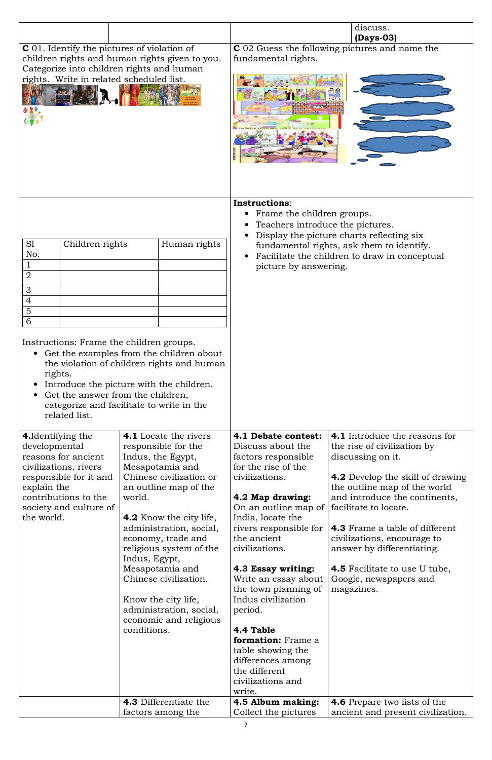|                                                                                                                                                                                                                                     |                                                                                                                                                                                                                                                                                                                                                                                                                                 |                                                                                                                                                                                                                                                                                                                                                                                                                                                                                 | discuss.                                                                                                                                                                                                                                                                                                                                                                                                     |
|-------------------------------------------------------------------------------------------------------------------------------------------------------------------------------------------------------------------------------------|---------------------------------------------------------------------------------------------------------------------------------------------------------------------------------------------------------------------------------------------------------------------------------------------------------------------------------------------------------------------------------------------------------------------------------|---------------------------------------------------------------------------------------------------------------------------------------------------------------------------------------------------------------------------------------------------------------------------------------------------------------------------------------------------------------------------------------------------------------------------------------------------------------------------------|--------------------------------------------------------------------------------------------------------------------------------------------------------------------------------------------------------------------------------------------------------------------------------------------------------------------------------------------------------------------------------------------------------------|
| <b>C</b> 01. Identify the pictures of violation of<br>Categorize into children rights and human<br>rights. Write in related scheduled list.                                                                                         | children rights and human rights given to you.                                                                                                                                                                                                                                                                                                                                                                                  | fundamental rights.                                                                                                                                                                                                                                                                                                                                                                                                                                                             | $(Days-03)$<br><b>C</b> 02 Guess the following pictures and name the                                                                                                                                                                                                                                                                                                                                         |
| S1<br>Children rights<br>No.<br>$\overline{2}$<br>3<br>$\overline{4}$<br>$\overline{5}$<br>6<br>Instructions: Frame the children groups.<br>rights.<br>$\bullet$<br>Get the answer from the children,<br>$\bullet$<br>related list. | Human rights<br>• Get the examples from the children about<br>the violation of children rights and human<br>Introduce the picture with the children.<br>categorize and facilitate to write in the                                                                                                                                                                                                                               | Instructions:<br>Frame the children groups.<br>Teachers introduce the pictures.<br>picture by answering.                                                                                                                                                                                                                                                                                                                                                                        | Display the picture charts reflecting six<br>fundamental rights, ask them to identify.<br>Facilitate the children to draw in conceptual                                                                                                                                                                                                                                                                      |
| <b>4.</b> Identifying the<br>developmental<br>reasons for ancient<br>civilizations, rivers<br>responsible for it and<br>explain the<br>contributions to the<br>society and culture of<br>the world.                                 | <b>4.1</b> Locate the rivers<br>responsible for the<br>Indus, the Egypt,<br>Mesapotamia and<br>Chinese civilization or<br>an outline map of the<br>world.<br><b>4.2</b> Know the city life,<br>administration, social,<br>economy, trade and<br>religious system of the<br>Indus, Egypt,<br>Mesapotamia and<br>Chinese civilization.<br>Know the city life,<br>administration, social,<br>economic and religious<br>conditions. | 4.1 Debate contest:<br>Discuss about the<br>factors responsible<br>for the rise of the<br>civilizations.<br>4.2 Map drawing:<br>On an outline map of<br>India, locate the<br>rivers responsible for<br>the ancient<br>civilizations.<br>4.3 Essay writing:<br>Write an essay about<br>the town planning of<br>Indus civilization<br>period.<br>4.4 Table<br><b>formation:</b> Frame a<br>table showing the<br>differences among<br>the different<br>civilizations and<br>write. | <b>4.1</b> Introduce the reasons for<br>the rise of civilization by<br>discussing on it.<br><b>4.2</b> Develop the skill of drawing<br>the outline map of the world<br>and introduce the continents,<br>facilitate to locate.<br><b>4.3</b> Frame a table of different<br>civilizations, encourage to<br>answer by differentiating.<br>4.5 Facilitate to use U tube,<br>Google, newspapers and<br>magazines. |
|                                                                                                                                                                                                                                     | <b>4.3</b> Differentiate the<br>factors among the                                                                                                                                                                                                                                                                                                                                                                               | 4.5 Album making:<br>Collect the pictures                                                                                                                                                                                                                                                                                                                                                                                                                                       | <b>4.6</b> Prepare two lists of the<br>ancient and present civilization.                                                                                                                                                                                                                                                                                                                                     |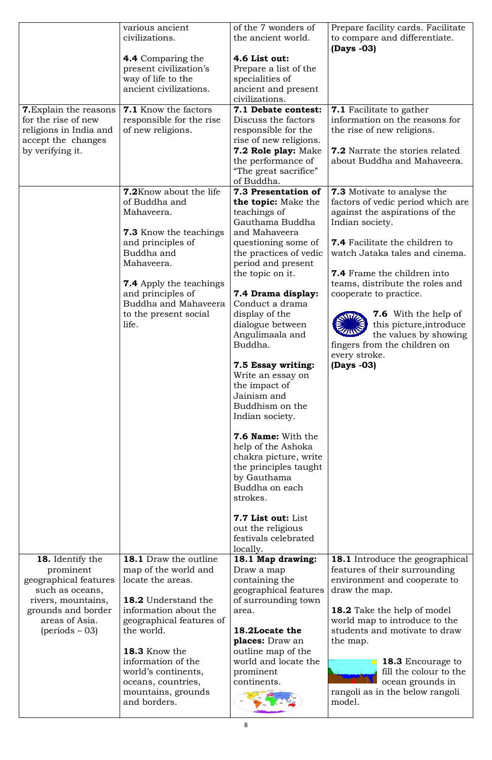**18.** Identify the prominent geographical features such as oceans, rivers, mountains, grounds and border areas of Asia. (periods – 03)

**18.1** Draw the outline map of the world and locate the areas.

18.2 Understand the information about the geographical features of the world.

18.3 Know the information of the world's continents, oceans, countries, mountains, grounds and borders.

Draw a map containing the geographical features aw a map<br>ntaining the<br>ographical features<br>surrounding town

18.1 Draw the outline 18.1 Map drawing:<br>
locate the areas.<br> **18.2** Understand the geographical feature<br>
geographical features of the world.<br> **18.3** Know the information of the places: Draw an<br>
18.3 Know the information of 18.2Locate the Locate places: Draw an outline map of the world and locate the prominent continents.



features of their surrounding environment and cooperate to draw the map. **18.1** Introduce the geographical

18.1 Map drawing:<br>
Draw a map<br>
containing the<br>
geographical features of their surrounding<br>
environment and cooperate to<br>
geographical features<br>
of surrounding town<br>
area.<br>
18.2 Take the help of model<br>
world map to introduc 18.2 Take the help of model world map to introduce to the d students and motivate to draw the map. environment and cooperate to<br>draw the map.<br>**18.2** Take the help of model<br>world map to introduce to the<br>students and motivate to draw



of surround area.

| <b>7.</b> Explain the reasons<br>for the rise of new<br>religions in India and<br>accept the changes<br>by verifying it. | various ancient<br>civilizations.<br><b>4.4</b> Comparing the<br>present civilization's<br>way of life to the<br>ancient civilizations.<br><b>7.1</b> Know the factors<br>responsible for the rise<br>of new religions.                                          | of the 7 wonders of<br>the ancient world.<br>4.6 List out:<br>Prepare a list of the<br>specialities of<br>ancient and present<br>civilizations.<br>7.1 Debate contest:<br>Discuss the factors<br>responsible for the<br>rise of new religions.<br>7.2 Role play: Make<br>the performance of                                                                                                                                                                                                                                                                                                                      | Prepare facility cards. Facilitate<br>to compare and differentiate.<br>(Days -03)<br><b>7.1</b> Facilitate to gather<br>information on the reasons for<br>the rise of new religions.<br><b>7.2</b> Narrate the stories related<br>about Buddha and Mahaveera.                                                                                                                                                                                                |
|--------------------------------------------------------------------------------------------------------------------------|------------------------------------------------------------------------------------------------------------------------------------------------------------------------------------------------------------------------------------------------------------------|------------------------------------------------------------------------------------------------------------------------------------------------------------------------------------------------------------------------------------------------------------------------------------------------------------------------------------------------------------------------------------------------------------------------------------------------------------------------------------------------------------------------------------------------------------------------------------------------------------------|--------------------------------------------------------------------------------------------------------------------------------------------------------------------------------------------------------------------------------------------------------------------------------------------------------------------------------------------------------------------------------------------------------------------------------------------------------------|
|                                                                                                                          | <b>7.2</b> Know about the life<br>of Buddha and<br>Mahaveera.<br><b>7.3</b> Know the teachings<br>and principles of<br>Buddha and<br>Mahaveera.<br><b>7.4</b> Apply the teachings<br>and principles of<br>Buddha and Mahaveera<br>to the present social<br>life. | "The great sacrifice"<br>of Buddha.<br>7.3 Presentation of<br>the topic: Make the<br>teachings of<br>Gauthama Buddha<br>and Mahaveera<br>questioning some of<br>the practices of vedic<br>period and present<br>the topic on it.<br>7.4 Drama display:<br>Conduct a drama<br>display of the<br>dialogue between<br>Angulimaala and<br>Buddha.<br>7.5 Essay writing:<br>Write an essay on<br>the impact of<br>Jainism and<br>Buddhism on the<br>Indian society.<br><b>7.6 Name:</b> With the<br>help of the Ashoka<br>chakra picture, write<br>the principles taught<br>by Gauthama<br>Buddha on each<br>strokes. | <b>7.3</b> Motivate to analyse the<br>factors of vedic period which are<br>against the aspirations of the<br>Indian society.<br><b>7.4</b> Facilitate the children to<br>watch Jataka tales and cinema.<br><b>7.4</b> Frame the children into<br>teams, distribute the roles and<br>cooperate to practice.<br><b>7.6</b> With the help of<br>this picture, introduce<br>the values by showing<br>fingers from the children on<br>every stroke.<br>(Days -03) |
| 18. Identify the                                                                                                         | <b>18.1</b> Draw the outline                                                                                                                                                                                                                                     | 7.7 List out: List<br>out the religious<br>festivals celebrated<br>locally.<br>18.1 Man drawing:                                                                                                                                                                                                                                                                                                                                                                                                                                                                                                                 | <b>18.1</b> Introduce the geographical                                                                                                                                                                                                                                                                                                                                                                                                                       |

model.

rangoli as in the below rangoli rangoli 18.3 Encourage to fill the colour to the ocean grounds in